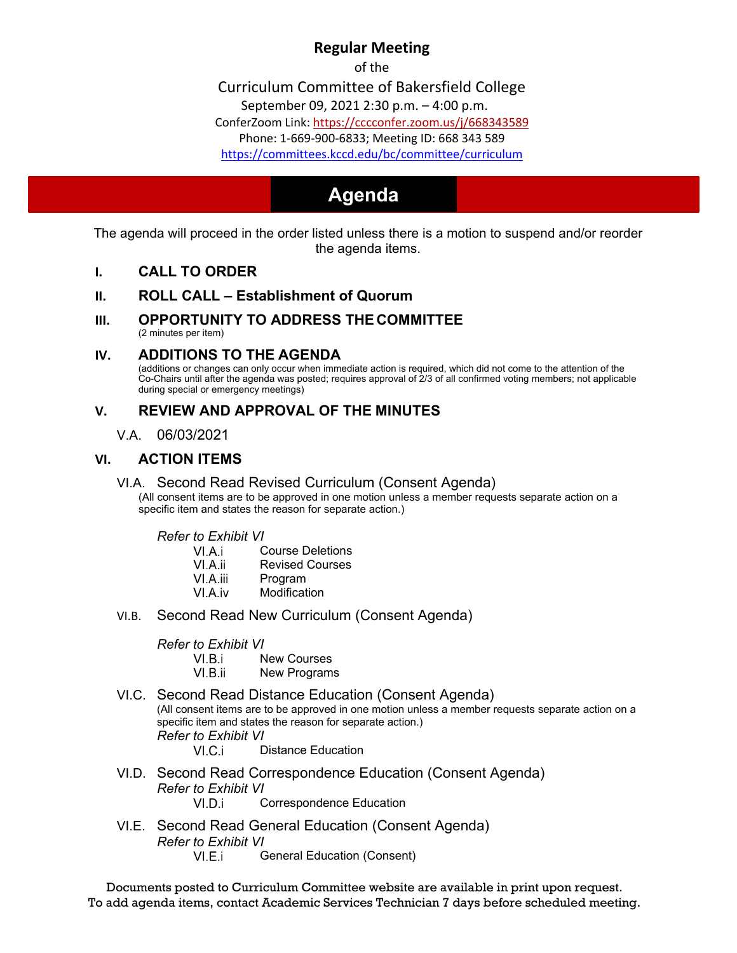## **Regular Meeting**

of the

Curriculum Committee of Bakersfield College

September 09[, 2021 2:30 p.m. – 4:00 p.m.](https://cccconfer.zoom.us/j/668343589) 

ConferZoom Link:<https://cccconfer.zoom.us/j/668343589>

[Phone: 1-669-900-6833; Meeting ID: 668 343 589](https://committees.kccd.edu/bc/committee/curriculum) 

<https://committees.kccd.edu/bc/committee/curriculum>

# **Agenda Agenda**

The agenda will proceed in the order listed unless there is a motion to suspend and/or reorder the agenda items.

#### **I. CALL TO ORDER**

#### **II. ROLL CALL – Establishment of Quorum**

**III. OPPORTUNITY TO ADDRESS THE COMMITTEE**  (2 minutes per item)

#### **IV. ADDITIONS TO THE AGENDA**

 Co-Chairs until after the agenda was posted; requires approval of 2/3 of all confirmed voting members; not applicable (additions or changes can only occur when immediate action is required, which did not come to the attention of the during special or emergency meetings)

## **V. REVIEW AND APPROVAL OF THE MINUTES**

V.A. 06/03/2021

#### **VI. ACTION ITEMS**

#### VI.A. Second Read Revised Curriculum (Consent Agenda)

(All consent items are to be approved in one motion unless a member requests separate action on a specific item and states the reason for separate action.)

*Refer to Exhibit VI* 

| VI.A.i | <b>Course Deletions</b> |
|--------|-------------------------|
|        |                         |

- VI.A.ii Revised Courses
- VI.A.iii Program
- VI.A.iv Modification
- VI.B. Second Read New Curriculum (Consent Agenda)

*Refer to Exhibit VI* 

- VI R i New Courses
- VI.B.ii New Programs
- VI.C. Second Read Distance Education (Consent Agenda) (All consent items are to be approved in one motion unless a member requests separate action on a specific item and states the reason for separate action.) *Refer to Exhibit VI*  Distance Education  $VI.C.i$
- VI.D. Second Read Correspondence Education (Consent Agenda) *Refer to Exhibit VI*  VI.D.i Correspondence Education
- General Education (Consent) VI.E. Second Read General Education (Consent Agenda) *Refer to Exhibit VI*

Documents posted to Curriculum Committee website are available in print upon request. To add agenda items, contact Academic Services Technician 7 days before scheduled meeting.